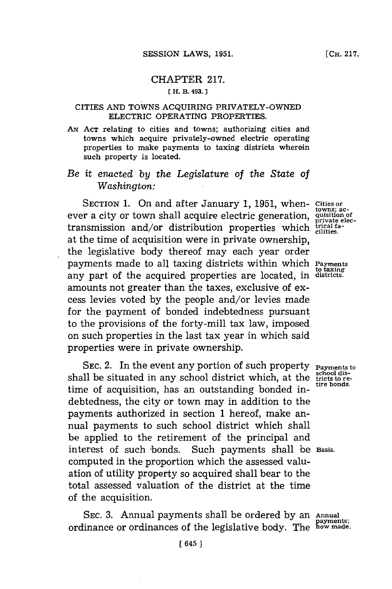## CHAPTER **217. [ H. B. 493.**

### **CITIES AND TOWNS ACQUIRING PRIVATELY-OWNED ELECTRIC OPERATING PROPERTIES.**

**AN~ ACT** relating to cities and towns; authorizing cities and towns which acquire privately-owned electric operating properties to make payments to taxing districts wherein such property is located.

# *Be it enacted by the Legislature of the State of Washington:*

SECTION 1. On and after January 1, 1951, when-cities or town shall acquire electric generation, quisition of private electric ever a city or town shall acquire electric generation, transmission and/or distribution properties which trical faat the time of acquisition were in private ownership, the legislative body thereof may each year order payments made to all taxing districts within which **Payments** any part of the acquired properties are located, in districts. amounts not greater than the taxes, exclusive of excess levies voted **by** the people and/or levies made for the payment of bonded indebtedness pursuant to the provisions of the forty-mill tax law, imposed on such properties in the last tax year in which said properties were in private ownership.

SEC. 2. In the event any portion of such property **Payments** to ll be situated in any school district which, at the tricts to reshall be situated in any school district which, at the **tricts** to retime of acquisition, has an outstanding bonded indebtedness, the city or town may in addition to the payments authorized in section **1** hereof, make annual payments to such school district which shall be applied to the retirement of the principal and interest of such bonds. Such payments shall be Basis. computed in the proportion which the assessed valuation of utility property so acquired shall bear to the total assessed valuation of the district at the time of the acquisition.

SEC. 3. Annual payments shall be ordered by an Annual payments; ordinance or ordinances of the legislative body. The how made.

to taxing